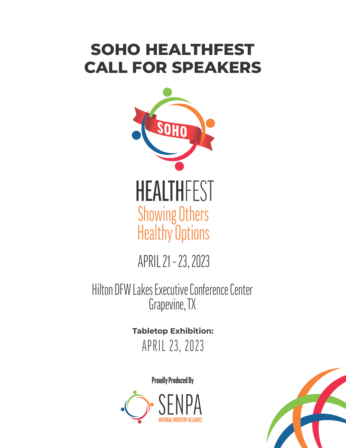# **SOHO HEALTHFEST CALL FOR SPEAKERS**



APRIL 21 – 23, 2023

Hilton DFW Lakes Executive Conference Center Grapevine, TX

> APRIL 23, 2023 **Tabletop Exhibition:**

> > Proudly Produced By



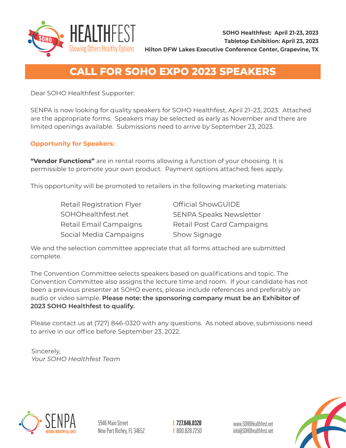

### **CALL FOR SOHO EXPO 2023 SPEAKERS**

Dear SOHO Healthfest Supporter:

SENPA is now looking for quality speakers for SOHO Healthfest, April 21–23, 2023. Attached are the appropriate forms. Speakers may be selected as early as November and there are limited openings available. Submissions need to arrive by September 23, 2023.

#### **Opportunity for Speakers:**

**"Vendor Functions"** are in rental rooms allowing a function of your choosing. It is permissible to promote your own product. Payment options attached; fees apply.

This opportunity will be promoted to retailers in the following marketing materials:

Retail Registration Flyer SOHOhealthfest.net Retail Email Campaigns Social Media Campaigns Official ShowGUIDE SENPA Speaks Newsletter Retail Post Card Campaigns Show Signage

We and the selection committee appreciate that all forms attached are submitted complete.

The Convention Committee selects speakers based on qualifications and topic. The Convention Committee also assigns the lecture time and room. If your candidate has not been a previous presenter at SOHO events, please include references and preferably an audio or video sample. **Please note: the sponsoring company must be an Exhibitor of 2023 SOHO Healthfest to qualify.**

Please contact us at (727) 846-0320 with any questions. As noted above, submissions need to arrive in our office before September 23, 2022.

Sincerely, *Your SOHO Healthfest Team*



727.846.0320 t 800.828.7250 f

www.SOHOHealthfest.net info@SOHOhealthfest.net

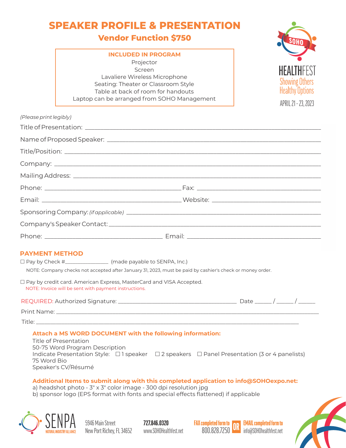|                        | <b>SPEAKER PROFILE &amp; PRESENTATI</b><br><b>Vendor Function \$750</b>                                                                                                                                                                                                                                                                                                                                                                                                                                  |                                                                                          |
|------------------------|----------------------------------------------------------------------------------------------------------------------------------------------------------------------------------------------------------------------------------------------------------------------------------------------------------------------------------------------------------------------------------------------------------------------------------------------------------------------------------------------------------|------------------------------------------------------------------------------------------|
|                        | <b>INCLUDED IN PROGRAM</b><br>Projector<br>Screen<br>Lavaliere Wireless Microphone<br>Seating: Theater or Classroom Style<br>Table at back of room for handouts<br>Laptop can be arranged from SOHO Management                                                                                                                                                                                                                                                                                           | <b>HEALIHF</b><br><b>Showing Others</b><br><b>Healthy Options</b><br>APRIL 21 - 23, 2023 |
| (Please print legibly) |                                                                                                                                                                                                                                                                                                                                                                                                                                                                                                          |                                                                                          |
|                        |                                                                                                                                                                                                                                                                                                                                                                                                                                                                                                          |                                                                                          |
|                        |                                                                                                                                                                                                                                                                                                                                                                                                                                                                                                          |                                                                                          |
|                        |                                                                                                                                                                                                                                                                                                                                                                                                                                                                                                          |                                                                                          |
|                        |                                                                                                                                                                                                                                                                                                                                                                                                                                                                                                          |                                                                                          |
|                        |                                                                                                                                                                                                                                                                                                                                                                                                                                                                                                          |                                                                                          |
|                        |                                                                                                                                                                                                                                                                                                                                                                                                                                                                                                          |                                                                                          |
|                        |                                                                                                                                                                                                                                                                                                                                                                                                                                                                                                          |                                                                                          |
|                        |                                                                                                                                                                                                                                                                                                                                                                                                                                                                                                          |                                                                                          |
|                        |                                                                                                                                                                                                                                                                                                                                                                                                                                                                                                          |                                                                                          |
|                        |                                                                                                                                                                                                                                                                                                                                                                                                                                                                                                          |                                                                                          |
| <b>PAYMENT METHOD</b>  | □ Pay by Check #___________________ (made payable to SENPA, Inc.)<br>NOTE: Company checks not accepted after January 31, 2023, must be paid by cashier's check or money order.<br>$\square$ Pay by credit card. American Express, MasterCard and VISA Accepted.<br>NOTE: Invoice will be sent with payment instructions.                                                                                                                                                                                 |                                                                                          |
|                        |                                                                                                                                                                                                                                                                                                                                                                                                                                                                                                          |                                                                                          |
|                        |                                                                                                                                                                                                                                                                                                                                                                                                                                                                                                          |                                                                                          |
|                        |                                                                                                                                                                                                                                                                                                                                                                                                                                                                                                          |                                                                                          |
| 75 Word Bio            | Attach a MS WORD DOCUMENT with the following information:<br><b>Title of Presentation</b><br>50-75 Word Program Description<br>Indicate Presentation Style: □ 1 speaker □ 2 speakers □ Panel Presentation (3 or 4 panelists)<br>Speaker's CV/Résumé<br>Additional Items to submit along with this completed application to info@SOHOexpo.net:<br>a) headshot photo - 3" x 3" color image - 300 dpi resolution jpg<br>b) sponsor logo (EPS format with fonts and special effects flattened) if applicable |                                                                                          |



5946 Main Street<br>New Port Richey, FL 34652

727.846.0320<br>www.SOHOHealthfest.net

FAX completed form to EMAIL completed form to OR 5946 Main Street www.SOHOHealthfest.net 800.828.7250 info@SOHOhealthfest.net

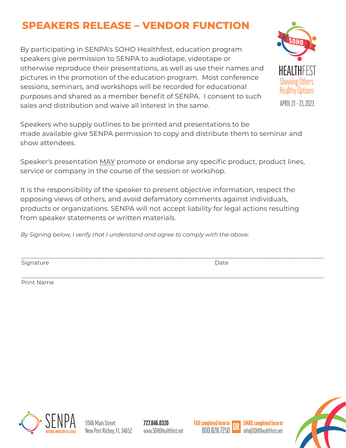### **SPEAKERS RELEASE – VENDOR FUNCTION**

By participating in SENPA's SOHO Healthfest, education program speakers give permission to SENPA to audiotape, videotape or otherwise reproduce their presentations, as well as use their names and pictures in the promotion of the education program. Most conference sessions, seminars, and workshops will be recorded for educational purposes and shared as a member benefit of SENPA. I consent to such sales and distribution and waive all interest in the same.



Speakers who supply outlines to be printed and presentations to be made available give SENPA permission to copy and distribute them to seminar and show attendees.

Speaker's presentation MAY promote or endorse any specific product, product lines, service or company in the course of the session or workshop.

It is the responsibility of the speaker to present objective information, respect the opposing views of others, and avoid defamatory comments against individuals, products or organizations. SENPA will not accept liability for legal actions resulting from speaker statements or written materials.

*By Signing below, I verify that I understand and agree to comply with the above:*

Signature Date Date of the Date of the Date of the Date of the Date of the Date of the Date of the Date of the Date of the Date of the Date of the Date of the Date of the Date of the Date of the Date of the Date of the Dat

\_\_\_\_\_\_\_\_\_\_\_\_\_\_\_\_\_\_\_\_\_\_\_\_\_\_\_\_\_\_\_\_\_\_\_\_\_\_\_\_\_\_\_\_\_\_\_\_\_\_\_\_\_\_\_\_\_\_\_\_\_\_\_\_\_\_\_\_\_\_\_\_\_\_\_\_\_\_\_\_\_\_\_\_\_\_\_\_\_\_\_\_\_\_\_\_\_\_\_\_\_\_\_\_\_\_\_ Print Name

\_\_\_\_\_\_\_\_\_\_\_\_\_\_\_\_\_\_\_\_\_\_\_\_\_\_\_\_\_\_\_\_\_\_\_\_\_\_\_\_\_\_\_\_\_\_\_\_\_\_\_\_\_\_\_\_\_\_\_\_\_\_\_\_\_\_\_\_\_\_\_\_\_\_\_\_\_\_\_\_\_\_\_\_\_\_\_\_\_\_\_\_\_\_\_\_\_\_\_\_\_\_\_\_\_\_\_



727.846.0320 www.SOHOHealthfest.net 800.828.7250 info@SOHOhealthfest.net

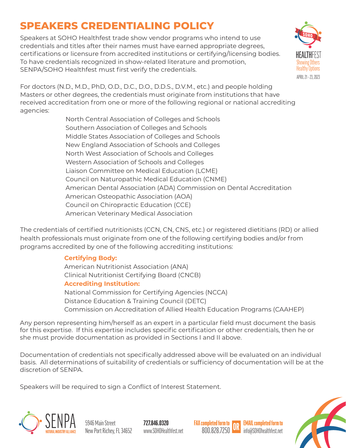# **SPEAKERS CREDENTIALING POLICY**

Speakers at SOHO Healthfest trade show vendor programs who intend to use credentials and titles after their names must have earned appropriate degrees, certifications or licensure from accredited institutions or certifying/licensing bodies. To have credentials recognized in show-related literature and promotion, SENPA/SOHO Healthfest must first verify the credentials.



For doctors (N.D., M.D., PhD, O.D., D.C., D.O., D.D.S., D.V.M., etc.) and people holding Masters or other degrees, the credentials must originate from institutions that have received accreditation from one or more of the following regional or national accrediting agencies:

North Central Association of Colleges and Schools Southern Association of Colleges and Schools Middle States Association of Colleges and Schools New England Association of Schools and Colleges North West Association of Schools and Colleges Western Association of Schools and Colleges Liaison Committee on Medical Education (LCME) Council on Naturopathic Medical Education (CNME) American Dental Association (ADA) Commission on Dental Accreditation American Osteopathic Association (AOA) Council on Chiropractic Education (CCE) American Veterinary Medical Association

The credentials of certified nutritionists (CCN, CN, CNS, etc.) or registered dietitians (RD) or allied health professionals must originate from one of the following certifying bodies and/or from programs accredited by one of the following accrediting institutions:

### **Certifying Body:**

American Nutritionist Association (ANA) Clinical Nutritionist Certifying Board (CNCB) **Accrediting Institution:** National Commission for Certifying Agencies (NCCA) Distance Education & Training Council (DETC) Commission on Accreditation of Allied Health Education Programs (CAAHEP)

Any person representing him/herself as an expert in a particular field must document the basis for this expertise. If this expertise includes specific certification or other credentials, then he or she must provide documentation as provided in Sections I and II above.

Documentation of credentials not specifically addressed above will be evaluated on an individual basis. All determinations of suitability of credentials or sufficiency of documentation will be at the discretion of SENPA.

Speakers will be required to sign a Conflict of Interest Statement.



727.846.0320





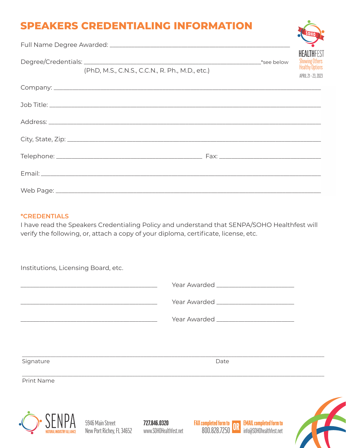### **SPEAKERS CREDENTIALING INFORMATION**

|                                                 |  |  |             | V                                                                                           |
|-------------------------------------------------|--|--|-------------|---------------------------------------------------------------------------------------------|
| (PhD, M.S., C.N.S., C.C.N., R. Ph., M.D., etc.) |  |  | _*see below | <b>HEALTHFEST</b><br><b>Showing Others</b><br><b>Healthy Options</b><br>APRIL 21 - 23, 2023 |
|                                                 |  |  |             |                                                                                             |
|                                                 |  |  |             |                                                                                             |
|                                                 |  |  |             |                                                                                             |
|                                                 |  |  |             |                                                                                             |
|                                                 |  |  |             |                                                                                             |
|                                                 |  |  |             |                                                                                             |
|                                                 |  |  |             |                                                                                             |

#### **\*CREDENTIALS**

I have read the Speakers Credentialing Policy and understand that SENPA/SOHO Healthfest will verify the following, or, attach a copy of your diploma, certificate, license, etc.

Institutions, Licensing Board, etc.

\_\_\_\_\_\_\_\_\_\_\_\_\_\_\_\_\_\_\_\_\_\_\_\_\_\_\_\_\_\_\_\_\_\_\_\_\_\_\_\_\_\_\_\_ Year Awarded \_\_\_\_\_\_\_\_\_\_\_\_\_\_\_\_\_\_\_\_\_\_\_\_\_

\_\_\_\_\_\_\_\_\_\_\_\_\_\_\_\_\_\_\_\_\_\_\_\_\_\_\_\_\_\_\_\_\_\_\_\_\_\_\_\_\_\_\_\_ Year Awarded \_\_\_\_\_\_\_\_\_\_\_\_\_\_\_\_\_\_\_\_\_\_\_\_\_

\_\_\_\_\_\_\_\_\_\_\_\_\_\_\_\_\_\_\_\_\_\_\_\_\_\_\_\_\_\_\_\_\_\_\_\_\_\_\_\_\_\_\_\_ Year Awarded \_\_\_\_\_\_\_\_\_\_\_\_\_\_\_\_\_\_\_\_\_\_\_\_\_

\_\_\_\_\_\_\_\_\_\_\_\_\_\_\_\_\_\_\_\_\_\_\_\_\_\_\_\_\_\_\_\_\_\_\_\_\_\_\_\_\_\_\_\_\_\_\_\_\_\_\_\_\_\_\_\_\_\_\_\_\_\_\_\_\_\_\_\_\_\_\_\_\_\_\_\_\_\_\_\_\_\_\_\_\_\_\_\_\_\_\_\_\_\_\_\_\_\_\_\_\_\_\_\_\_\_\_ Signature Date Date Date Date Date Date

\_\_\_\_\_\_\_\_\_\_\_\_\_\_\_\_\_\_\_\_\_\_\_\_\_\_\_\_\_\_\_\_\_\_\_\_\_\_\_\_\_\_\_\_\_\_\_\_\_\_\_\_\_\_\_\_\_\_\_\_\_\_\_\_\_\_\_\_\_\_\_\_\_\_\_\_\_\_\_\_\_\_\_\_\_\_\_\_\_\_\_\_\_\_\_\_\_\_\_\_\_\_\_\_\_\_\_ Print Name



727.846.0320



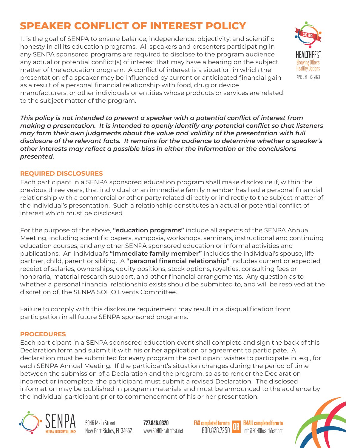## **SPEAKER CONFLICT OF INTEREST POLICY**

matter of the education program. A conflict of interest is a situation in which the<br>presentation of a speaker may be influenced by current or anticipated financial gain It is the goal of SENPA to ensure balance, independence, objectivity, and scientific honesty in all its education programs. All speakers and presenters participating in any SENPA sponsored programs are required to disclose to the program audience any actual or potential conflict(s) of interest that may have a bearing on the subject matter of the education program. A conflict of interest is a situation in which the as a result of a personal financial relationship with food, drug or device



manufacturers, or other individuals or entities whose products or services are related to the subject matter of the program.

*This policy is not intended to prevent a speaker with a potential conflict of interest from making a presentation. It is intended to openly identify any potential conflict so that listeners may form their own judgments about the value and validity of the presentation with full disclosure of the relevant facts. It remains for the audience to determine whether a speaker's other interests may reflect a possible bias in either the information or the conclusions presented.*

#### **REQUIRED DISCLOSURES**

Each participant in a SENPA sponsored education program shall make disclosure if, within the previous three years, that individual or an immediate family member has had a personal financial relationship with a commercial or other party related directly or indirectly to the subject matter of the individual's presentation. Such a relationship constitutes an actual or potential conflict of interest which must be disclosed.

For the purpose of the above, **"education programs"** include all aspects of the SENPA Annual Meeting, including scientific papers, symposia, workshops, seminars, instructional and continuing education courses, and any other SENPA sponsored education or informal activities and publications. An individual's **"immediate family member"** includes the individual's spouse, life partner, child, parent or sibling. A **"personal financial relationship"** includes current or expected receipt of salaries, ownerships, equity positions, stock options, royalties, consulting fees or honoraria, material research support, and other financial arrangements. Any question as to whether a personal financial relationship exists should be submitted to, and will be resolved at the discretion of, the SENPA SOHO Events Committee.

Failure to comply with this disclosure requirement may result in a disqualification from participation in all future SENPA sponsored programs.

#### **PROCEDURES**

Each participant in a SENPA sponsored education event shall complete and sign the back of this Declaration form and submit it with his or her application or agreement to participate. A declaration must be submitted for every program the participant wishes to participate in, e.g., for each SENPA Annual Meeting. If the participant's situation changes during the period of time between the submission of a Declaration and the program, so as to render the Declaration incorrect or incomplete, the participant must submit a revised Declaration. The disclosed information may be published in program materials and must be announced to the audience by the individual participant prior to commencement of his or her presentation.



New Port Richey, FL 34652

727.846.0320